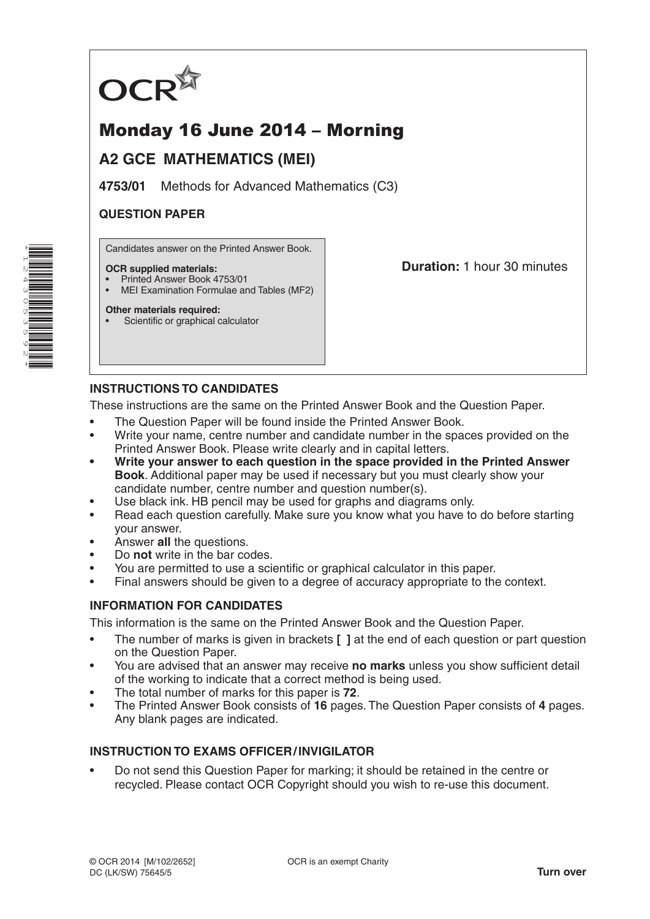

# Monday 16 June 2014 – Morning

# **A2 GCE MATHEMATICS (MEI)**

**4753/01** Methods for Advanced Mathematics (C3)

# **QUESTION PAPER**

Candidates answer on the Printed Answer Book.

#### **OCR supplied materials:**

- Printed Answer Book 4753/01
- MEI Examination Formulae and Tables (MF2)

**Other materials required:**

Scientific or graphical calculator

**Duration:** 1 hour 30 minutes

# **INSTRUCTIONS TO CANDIDATES**

These instructions are the same on the Printed Answer Book and the Question Paper.

- The Question Paper will be found inside the Printed Answer Book.
- Write your name, centre number and candidate number in the spaces provided on the Printed Answer Book. Please write clearly and in capital letters.
- **• Write your answer to each question in the space provided in the Printed Answer Book**. Additional paper may be used if necessary but you must clearly show your candidate number, centre number and question number(s).
- Use black ink. HB pencil may be used for graphs and diagrams only.
- Read each question carefully. Make sure you know what you have to do before starting your answer.
- Answer **all** the questions.
- Do **not** write in the bar codes.
- You are permitted to use a scientific or graphical calculator in this paper.
- Final answers should be given to a degree of accuracy appropriate to the context.

# **INFORMATION FOR CANDIDATES**

This information is the same on the Printed Answer Book and the Question Paper.

- The number of marks is given in brackets **[ ]** at the end of each question or part question on the Question Paper.
- You are advised that an answer may receive **no marks** unless you show sufficient detail of the working to indicate that a correct method is being used.
- The total number of marks for this paper is **72**.
- The Printed Answer Book consists of **16** pages. The Question Paper consists of **4** pages. Any blank pages are indicated.

# **INSTRUCTION TO EXAMS OFFICER/INVIGILATOR**

• Do not send this Question Paper for marking; it should be retained in the centre or recycled. Please contact OCR Copyright should you wish to re-use this document.

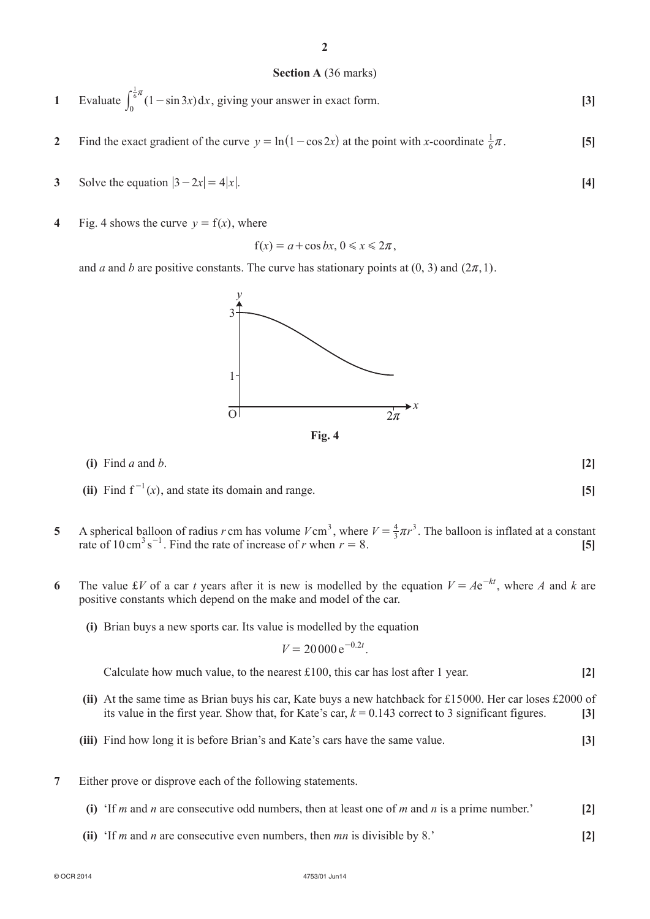### **Section A** (36 marks)

- **1** Evaluate  $\int_0^6 (1 \sin 3x) dx$  $\int_0^{\frac{1}{6}\pi} (1 - \sin 3x) dx$ , giving your answer in exact form. **[3]**
- **2** Find the exact gradient of the curve  $y = ln(1 cos 2x)$  at the point with *x*-coordinate  $\frac{1}{6}\pi$ . [5]
- **3** Solve the equation  $|3 2x| = 4|x|$ .
- **4** Fig. 4 shows the curve  $y = f(x)$ , where

$$
f(x) = a + \cos bx, \, 0 \le x \le 2\pi
$$

and *a* and *b* are positive constants. The curve has stationary points at  $(0, 3)$  and  $(2\pi, 1)$ .

(ii) Find  $f^{-1}(x)$ , and state its domain and range. **[5]** 

**5** A spherical balloon of radius *r* cm has volume  $V \text{ cm}^3$ , where  $V = \frac{4}{3}\pi r^3$ . The balloon is inflated at a constant rate of 10 cm<sup>3</sup> s<sup>-1</sup>. Find the rate of increase of *r* when  $r = 8$ . [5]

**(i)** Find *a* and *b*. **[2]**

- **6** The value £*V* of a car *t* years after it is new is modelled by the equation  $V = Ae^{-kt}$ , where *A* and *k* are positive constants which depend on the make and model of the car.
	- **(i)** Brian buys a new sports car. Its value is modelled by the equation

$$
V = 20000 \,\mathrm{e}^{-0.2t}.
$$

Calculate how much value, to the nearest £100, this car has lost after 1 year. **[2]**

- **(ii)** At the same time as Brian buys his car, Kate buys a new hatchback for £15000. Her car loses £2000 of its value in the first year. Show that, for Kate's car,  $k = 0.143$  correct to 3 significant figures. [3]
- **(iii)** Find how long it is before Brian's and Kate's cars have the same value. **[3]**
- **7** Either prove or disprove each of the following statements.

© OCR 2014 4753/01 Jun14

- **(i)** 'If *m* and *n* are consecutive odd numbers, then at least one of *m* and *n* is a prime number.' **[2]**
- **(ii)** 'If *m* and *n* are consecutive even numbers, then *mn* is divisible by 8.' **[2]**

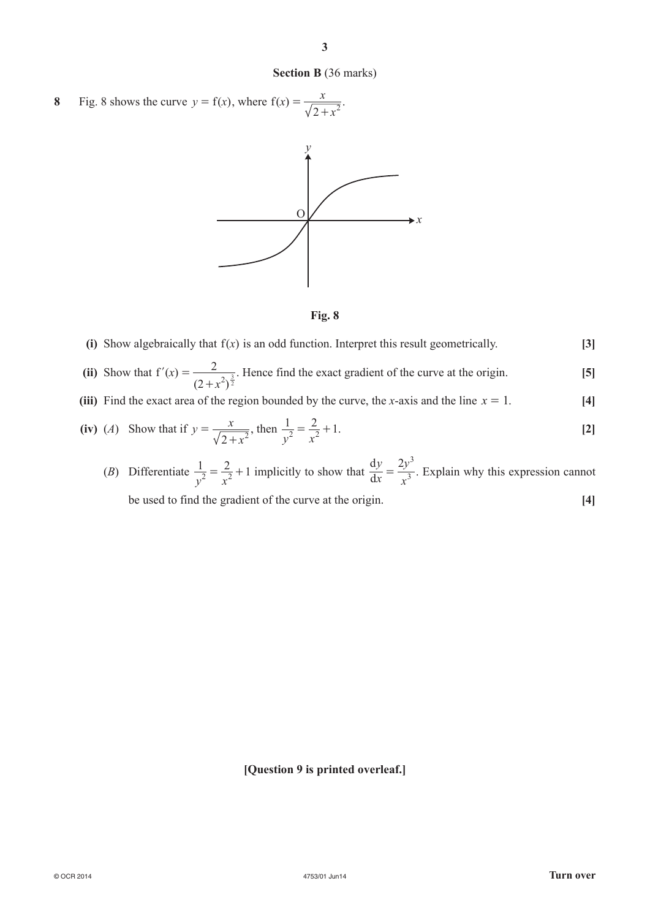### **Section B** (36 marks)

**3**

**8** Fig. 8 shows the curve  $y = f(x)$ , where  $f(x)$ *x*  $=\frac{x}{\sqrt{2+x^2}}.$ 





(i) Show algebraically that  $f(x)$  is an odd function. Interpret this result geometrically.  $[3]$ 

(ii) Show that 
$$
f'(x) = \frac{2}{(2+x^2)^{\frac{3}{2}}}
$$
. Hence find the exact gradient of the curve at the origin.

(iii) Find the exact area of the region bounded by the curve, the *x*-axis and the line  $x = 1$ . [4]

(iv) (*A*) Show that if 
$$
y = \frac{x}{\sqrt{2+x^2}}
$$
, then  $\frac{1}{y^2} = \frac{2}{x^2} + 1$ . [2]

(B) Differentiate 
$$
\frac{1}{y^2} = \frac{2}{x^2} + 1
$$
 implicitly to show that  $\frac{dy}{dx} = \frac{2y^3}{x^3}$ . Explain why this expression cannot be used to find the gradient of the curve at the origin. [4]

d

#### **[Question 9 is printed overleaf.]**